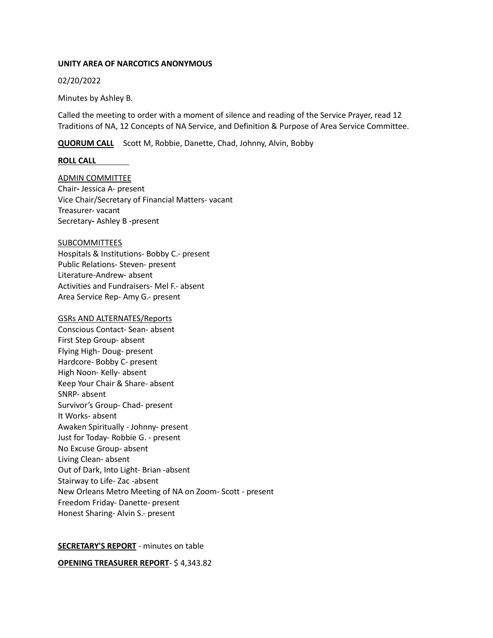## **UNITY AREA OF NARCOTICS ANONYMOUS**

## 02/20/2022

Minutes by Ashley B.

Called the meeting to order with a moment of silence and reading of the Service Prayer, read 12 Traditions of NA, 12 Concepts of NA Service, and Definition & Purpose of Area Service Committee.

**QUORUM CALL** Scott M, Robbie, Danette, Chad, Johnny, Alvin, Bobby

### **ROLL CALL**

ADMIN COMMITTEE Chair**-** Jessica A- present Vice Chair/Secretary of Financial Matters- vacant Treasurer- vacant Secretary**-** Ashley B -present

## **SUBCOMMITTEES**

Hospitals & Institutions- Bobby C.- present Public Relations- Steven- present Literature-Andrew- absent Activities and Fundraisers- Mel F.- absent Area Service Rep- Amy G.- present

## GSRs AND ALTERNATES/Reports

Conscious Contact- Sean- absent First Step Group- absent Flying High- Doug- present Hardcore- Bobby C- present High Noon- Kelly- absent Keep Your Chair & Share- absent SNRP- absent Survivor's Group- Chad- present It Works- absent Awaken Spiritually - Johnny- present Just for Today- Robbie G. - present No Excuse Group- absent Living Clean- absent Out of Dark, Into Light- Brian -absent Stairway to Life- Zac -absent New Orleans Metro Meeting of NA on Zoom- Scott - present Freedom Friday- Danette- present Honest Sharing- Alvin S.- present

# **SECRETARY'S REPORT** - minutes on table

**OPENING TREASURER REPORT**- \$ 4,343.82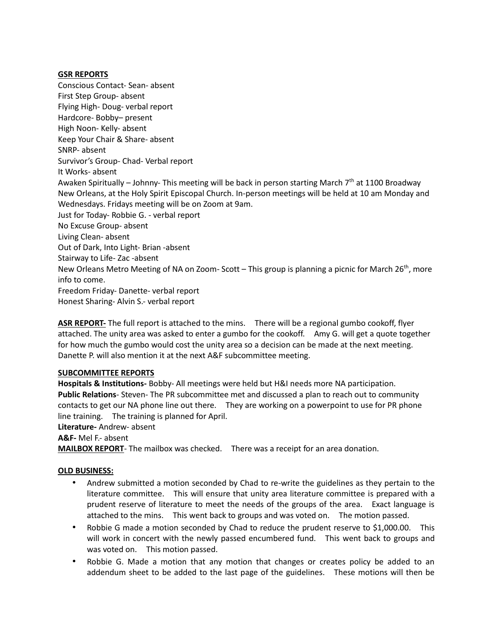# **GSR REPORTS**

Conscious Contact- Sean- absent First Step Group- absent Flying High- Doug- verbal report Hardcore- Bobby– present High Noon- Kelly- absent Keep Your Chair & Share- absent SNRP- absent Survivor's Group- Chad- Verbal report It Works- absent Awaken Spiritually – Johnny- This meeting will be back in person starting March 7th at 1100 Broadway New Orleans, at the Holy Spirit Episcopal Church. In-person meetings will be held at 10 am Monday and Wednesdays. Fridays meeting will be on Zoom at 9am. Just for Today- Robbie G. - verbal report No Excuse Group- absent Living Clean- absent Out of Dark, Into Light- Brian -absent Stairway to Life- Zac -absent New Orleans Metro Meeting of NA on Zoom- Scott – This group is planning a picnic for March 26<sup>th</sup>, more info to come. Freedom Friday- Danette- verbal report Honest Sharing- Alvin S.- verbal report

**ASR REPORT-** The full report is attached to the mins. There will be a regional gumbo cookoff, flyer attached. The unity area was asked to enter a gumbo for the cookoff. Amy G. will get a quote together for how much the gumbo would cost the unity area so a decision can be made at the next meeting. Danette P. will also mention it at the next A&F subcommittee meeting.

# **SUBCOMMITTEE REPORTS**

**Hospitals & Institutions-** Bobby- All meetings were held but H&I needs more NA participation. **Public Relations**- Steven- The PR subcommittee met and discussed a plan to reach out to community contacts to get our NA phone line out there. They are working on a powerpoint to use for PR phone line training. The training is planned for April.

**Literature-** Andrew- absent

**A&F-** Mel F.- absent

**MAILBOX REPORT**- The mailbox was checked. There was a receipt for an area donation.

### **OLD BUSINESS:**

- Andrew submitted a motion seconded by Chad to re-write the guidelines as they pertain to the literature committee. This will ensure that unity area literature committee is prepared with a prudent reserve of literature to meet the needs of the groups of the area. Exact language is attached to the mins. This went back to groups and was voted on. The motion passed.
- Robbie G made a motion seconded by Chad to reduce the prudent reserve to \$1,000.00. This will work in concert with the newly passed encumbered fund. This went back to groups and was voted on. This motion passed.
- Robbie G. Made a motion that any motion that changes or creates policy be added to an addendum sheet to be added to the last page of the guidelines. These motions will then be